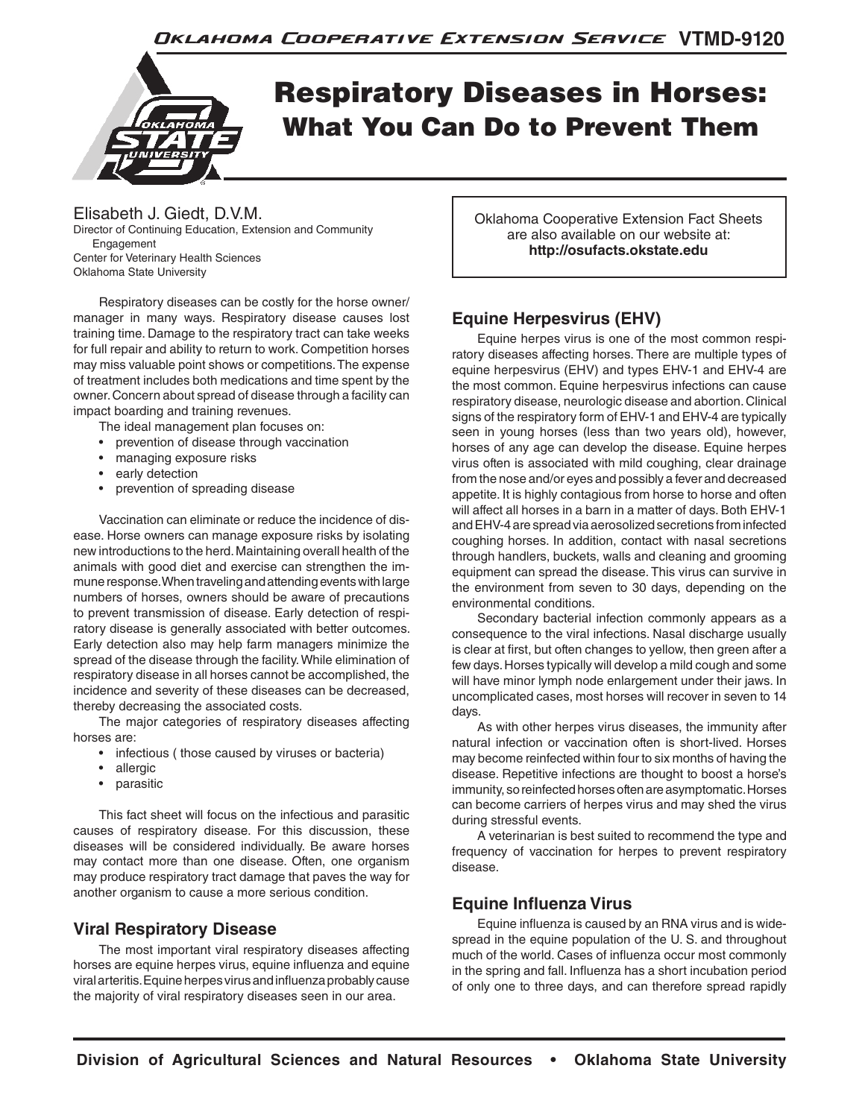

# Respiratory Diseases in Horses: What You Can Do to Prevent Them

## Elisabeth J. Giedt, D.V.M.

Director of Continuing Education, Extension and Community **Engagement** Center for Veterinary Health Sciences Oklahoma State University

 Respiratory diseases can be costly for the horse owner/ manager in many ways. Respiratory disease causes lost training time. Damage to the respiratory tract can take weeks for full repair and ability to return to work. Competition horses may miss valuable point shows or competitions. The expense of treatment includes both medications and time spent by the owner. Concern about spread of disease through a facility can impact boarding and training revenues.

The ideal management plan focuses on:

- prevention of disease through vaccination
- managing exposure risks
- early detection
- prevention of spreading disease

 Vaccination can eliminate or reduce the incidence of disease. Horse owners can manage exposure risks by isolating new introductions to the herd. Maintaining overall health of the animals with good diet and exercise can strengthen the immune response. When traveling and attending events with large numbers of horses, owners should be aware of precautions to prevent transmission of disease. Early detection of respiratory disease is generally associated with better outcomes. Early detection also may help farm managers minimize the spread of the disease through the facility. While elimination of respiratory disease in all horses cannot be accomplished, the incidence and severity of these diseases can be decreased, thereby decreasing the associated costs.

 The major categories of respiratory diseases affecting horses are:

- infectious ( those caused by viruses or bacteria)
- allergic
- parasitic

This fact sheet will focus on the infectious and parasitic causes of respiratory disease. For this discussion, these diseases will be considered individually. Be aware horses may contact more than one disease. Often, one organism may produce respiratory tract damage that paves the way for another organism to cause a more serious condition.

# **Viral Respiratory Disease**

The most important viral respiratory diseases affecting horses are equine herpes virus, equine influenza and equine viral arteritis. Equine herpes virus and influenza probably cause the majority of viral respiratory diseases seen in our area.

Oklahoma Cooperative Extension Fact Sheets are also available on our website at: **http://osufacts.okstate.edu**

# **Equine Herpesvirus (EHV)**

Equine herpes virus is one of the most common respiratory diseases affecting horses. There are multiple types of equine herpesvirus (EHV) and types EHV-1 and EHV-4 are the most common. Equine herpesvirus infections can cause respiratory disease, neurologic disease and abortion. Clinical signs of the respiratory form of EHV-1 and EHV-4 are typically seen in young horses (less than two years old), however, horses of any age can develop the disease. Equine herpes virus often is associated with mild coughing, clear drainage from the nose and/or eyes and possibly a fever and decreased appetite. It is highly contagious from horse to horse and often will affect all horses in a barn in a matter of days. Both EHV-1 and EHV-4 are spread via aerosolized secretions from infected coughing horses. In addition, contact with nasal secretions through handlers, buckets, walls and cleaning and grooming equipment can spread the disease. This virus can survive in the environment from seven to 30 days, depending on the environmental conditions.

Secondary bacterial infection commonly appears as a consequence to the viral infections. Nasal discharge usually is clear at first, but often changes to yellow, then green after a few days. Horses typically will develop a mild cough and some will have minor lymph node enlargement under their jaws. In uncomplicated cases, most horses will recover in seven to 14 days.

As with other herpes virus diseases, the immunity after natural infection or vaccination often is short-lived. Horses may become reinfected within four to six months of having the disease. Repetitive infections are thought to boost a horse's immunity, so reinfected horses often are asymptomatic. Horses can become carriers of herpes virus and may shed the virus during stressful events.

A veterinarian is best suited to recommend the type and frequency of vaccination for herpes to prevent respiratory disease.

# **Equine Influenza Virus**

Equine influenza is caused by an RNA virus and is widespread in the equine population of the U. S. and throughout much of the world. Cases of influenza occur most commonly in the spring and fall. Influenza has a short incubation period of only one to three days, and can therefore spread rapidly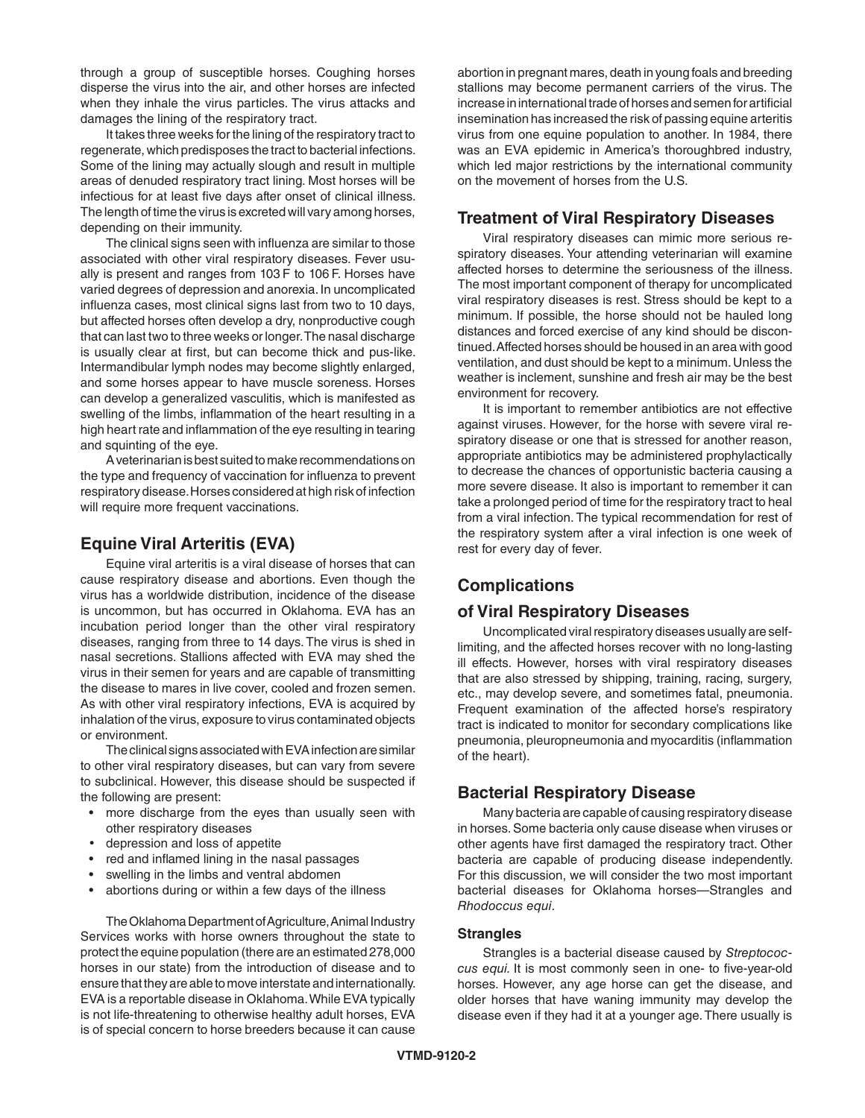through a group of susceptible horses. Coughing horses disperse the virus into the air, and other horses are infected when they inhale the virus particles. The virus attacks and damages the lining of the respiratory tract.

It takes three weeks for the lining of the respiratory tract to regenerate, which predisposes the tract to bacterial infections. Some of the lining may actually slough and result in multiple areas of denuded respiratory tract lining. Most horses will be infectious for at least five days after onset of clinical illness. The length of time the virus is excreted will vary among horses, depending on their immunity.

The clinical signs seen with influenza are similar to those associated with other viral respiratory diseases. Fever usually is present and ranges from 103 F to 106 F. Horses have varied degrees of depression and anorexia. In uncomplicated influenza cases, most clinical signs last from two to 10 days, but affected horses often develop a dry, nonproductive cough that can last two to three weeks or longer. The nasal discharge is usually clear at first, but can become thick and pus-like. Intermandibular lymph nodes may become slightly enlarged, and some horses appear to have muscle soreness. Horses can develop a generalized vasculitis, which is manifested as swelling of the limbs, inflammation of the heart resulting in a high heart rate and inflammation of the eye resulting in tearing and squinting of the eye.

A veterinarian is best suited to make recommendations on the type and frequency of vaccination for influenza to prevent respiratory disease. Horses considered at high risk of infection will require more frequent vaccinations.

## **Equine Viral Arteritis (EVA)**

 Equine viral arteritis is a viral disease of horses that can cause respiratory disease and abortions. Even though the virus has a worldwide distribution, incidence of the disease is uncommon, but has occurred in Oklahoma. EVA has an incubation period longer than the other viral respiratory diseases, ranging from three to 14 days. The virus is shed in nasal secretions. Stallions affected with EVA may shed the virus in their semen for years and are capable of transmitting the disease to mares in live cover, cooled and frozen semen. As with other viral respiratory infections, EVA is acquired by inhalation of the virus, exposure to virus contaminated objects or environment.

 The clinical signs associated with EVA infection are similar to other viral respiratory diseases, but can vary from severe to subclinical. However, this disease should be suspected if the following are present:

- more discharge from the eyes than usually seen with other respiratory diseases
- depression and loss of appetite
- red and inflamed lining in the nasal passages
- swelling in the limbs and ventral abdomen
- abortions during or within a few days of the illness

The Oklahoma Department of Agriculture, Animal Industry Services works with horse owners throughout the state to protect the equine population (there are an estimated 278,000 horses in our state) from the introduction of disease and to ensure that they are able to move interstate and internationally. EVA is a reportable disease in Oklahoma. While EVA typically is not life-threatening to otherwise healthy adult horses, EVA is of special concern to horse breeders because it can cause

abortion in pregnant mares, death in young foals and breeding stallions may become permanent carriers of the virus. The increase in international trade of horses and semen for artificial insemination has increased the risk of passing equine arteritis virus from one equine population to another. In 1984, there was an EVA epidemic in America's thoroughbred industry, which led major restrictions by the international community on the movement of horses from the U.S.

#### **Treatment of Viral Respiratory Diseases**

Viral respiratory diseases can mimic more serious respiratory diseases. Your attending veterinarian will examine affected horses to determine the seriousness of the illness. The most important component of therapy for uncomplicated viral respiratory diseases is rest. Stress should be kept to a minimum. If possible, the horse should not be hauled long distances and forced exercise of any kind should be discontinued. Affected horses should be housed in an area with good ventilation, and dust should be kept to a minimum. Unless the weather is inclement, sunshine and fresh air may be the best environment for recovery.

It is important to remember antibiotics are not effective against viruses. However, for the horse with severe viral respiratory disease or one that is stressed for another reason, appropriate antibiotics may be administered prophylactically to decrease the chances of opportunistic bacteria causing a more severe disease. It also is important to remember it can take a prolonged period of time for the respiratory tract to heal from a viral infection. The typical recommendation for rest of the respiratory system after a viral infection is one week of rest for every day of fever.

# **Complications**

### **of Viral Respiratory Diseases**

Uncomplicated viral respiratory diseases usually are selflimiting, and the affected horses recover with no long-lasting ill effects. However, horses with viral respiratory diseases that are also stressed by shipping, training, racing, surgery, etc., may develop severe, and sometimes fatal, pneumonia. Frequent examination of the affected horse's respiratory tract is indicated to monitor for secondary complications like pneumonia, pleuropneumonia and myocarditis (inflammation of the heart).

### **Bacterial Respiratory Disease**

Many bacteria are capable of causing respiratory disease in horses. Some bacteria only cause disease when viruses or other agents have first damaged the respiratory tract. Other bacteria are capable of producing disease independently. For this discussion, we will consider the two most important bacterial diseases for Oklahoma horses—Strangles and *Rhodoccus equi*.

#### **Strangles**

Strangles is a bacterial disease caused by *Streptococcus equi.* It is most commonly seen in one- to five-year-old horses. However, any age horse can get the disease, and older horses that have waning immunity may develop the disease even if they had it at a younger age. There usually is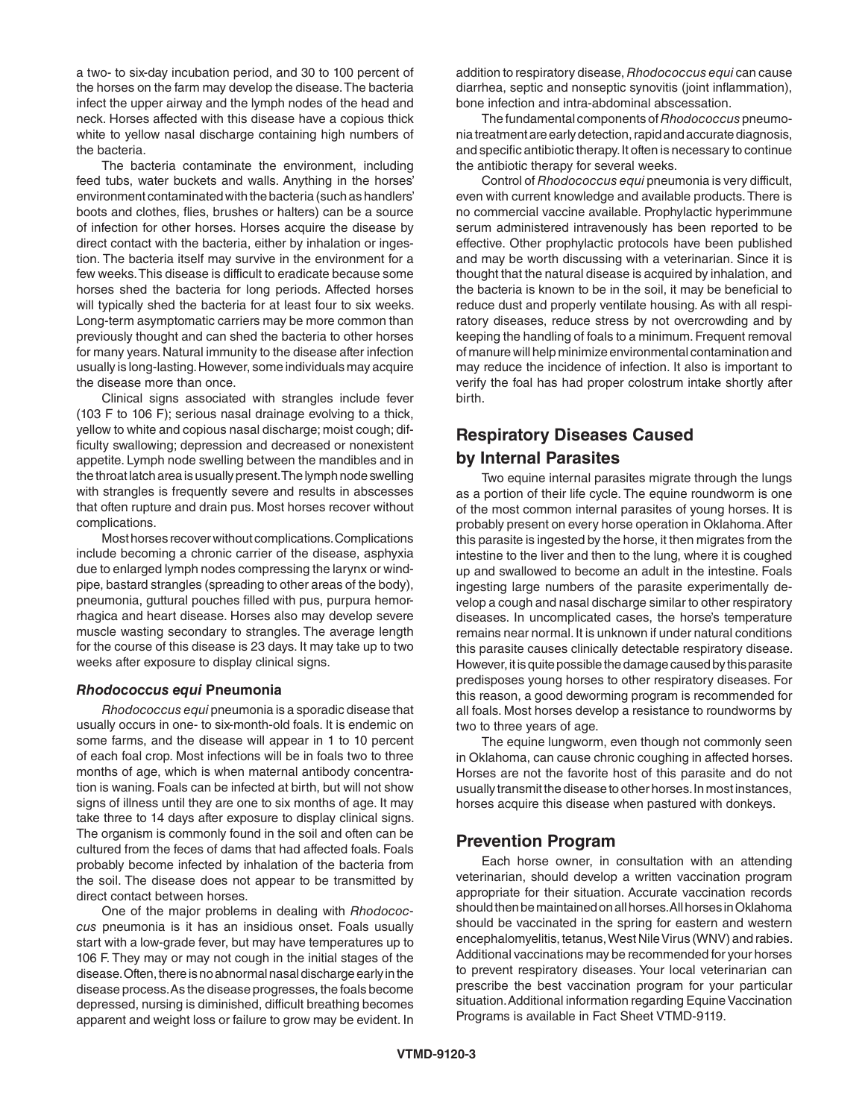a two- to six-day incubation period, and 30 to 100 percent of the horses on the farm may develop the disease. The bacteria infect the upper airway and the lymph nodes of the head and neck. Horses affected with this disease have a copious thick white to yellow nasal discharge containing high numbers of the bacteria.

The bacteria contaminate the environment, including feed tubs, water buckets and walls. Anything in the horses' environment contaminated with the bacteria (such as handlers' boots and clothes, flies, brushes or halters) can be a source of infection for other horses. Horses acquire the disease by direct contact with the bacteria, either by inhalation or ingestion. The bacteria itself may survive in the environment for a few weeks. This disease is difficult to eradicate because some horses shed the bacteria for long periods. Affected horses will typically shed the bacteria for at least four to six weeks. Long-term asymptomatic carriers may be more common than previously thought and can shed the bacteria to other horses for many years. Natural immunity to the disease after infection usually is long-lasting. However, some individuals may acquire the disease more than once.

Clinical signs associated with strangles include fever (103 F to 106 F); serious nasal drainage evolving to a thick, yellow to white and copious nasal discharge; moist cough; difficulty swallowing; depression and decreased or nonexistent appetite. Lymph node swelling between the mandibles and in the throat latch area is usually present. The lymph node swelling with strangles is frequently severe and results in abscesses that often rupture and drain pus. Most horses recover without complications.

Most horses recover without complications. Complications include becoming a chronic carrier of the disease, asphyxia due to enlarged lymph nodes compressing the larynx or windpipe, bastard strangles (spreading to other areas of the body), pneumonia, guttural pouches filled with pus, purpura hemorrhagica and heart disease. Horses also may develop severe muscle wasting secondary to strangles. The average length for the course of this disease is 23 days. It may take up to two weeks after exposure to display clinical signs.

#### *Rhodococcus equi* **Pneumonia**

*Rhodococcus equi* pneumonia is a sporadic disease that usually occurs in one- to six-month-old foals. It is endemic on some farms, and the disease will appear in 1 to 10 percent of each foal crop. Most infections will be in foals two to three months of age, which is when maternal antibody concentration is waning. Foals can be infected at birth, but will not show signs of illness until they are one to six months of age. It may take three to 14 days after exposure to display clinical signs. The organism is commonly found in the soil and often can be cultured from the feces of dams that had affected foals. Foals probably become infected by inhalation of the bacteria from the soil. The disease does not appear to be transmitted by direct contact between horses.

One of the major problems in dealing with *Rhodococcus* pneumonia is it has an insidious onset. Foals usually start with a low-grade fever, but may have temperatures up to 106 F. They may or may not cough in the initial stages of the disease. Often, there is no abnormal nasal discharge early in the disease process. As the disease progresses, the foals become depressed, nursing is diminished, difficult breathing becomes apparent and weight loss or failure to grow may be evident. In addition to respiratory disease, *Rhodococcus equi* can cause diarrhea, septic and nonseptic synovitis (joint inflammation), bone infection and intra-abdominal abscessation.

The fundamental components of *Rhodococcus* pneumonia treatment are early detection, rapid and accurate diagnosis, and specific antibiotic therapy. It often is necessary to continue the antibiotic therapy for several weeks.

Control of *Rhodococcus equi* pneumonia is very difficult, even with current knowledge and available products. There is no commercial vaccine available. Prophylactic hyperimmune serum administered intravenously has been reported to be effective. Other prophylactic protocols have been published and may be worth discussing with a veterinarian. Since it is thought that the natural disease is acquired by inhalation, and the bacteria is known to be in the soil, it may be beneficial to reduce dust and properly ventilate housing. As with all respiratory diseases, reduce stress by not overcrowding and by keeping the handling of foals to a minimum. Frequent removal of manure will help minimize environmental contamination and may reduce the incidence of infection. It also is important to verify the foal has had proper colostrum intake shortly after birth.

# **Respiratory Diseases Caused by Internal Parasites**

Two equine internal parasites migrate through the lungs as a portion of their life cycle. The equine roundworm is one of the most common internal parasites of young horses. It is probably present on every horse operation in Oklahoma. After this parasite is ingested by the horse, it then migrates from the intestine to the liver and then to the lung, where it is coughed up and swallowed to become an adult in the intestine. Foals ingesting large numbers of the parasite experimentally develop a cough and nasal discharge similar to other respiratory diseases. In uncomplicated cases, the horse's temperature remains near normal. It is unknown if under natural conditions this parasite causes clinically detectable respiratory disease. However, it is quite possible the damage caused by this parasite predisposes young horses to other respiratory diseases. For this reason, a good deworming program is recommended for all foals. Most horses develop a resistance to roundworms by two to three years of age.

The equine lungworm, even though not commonly seen in Oklahoma, can cause chronic coughing in affected horses. Horses are not the favorite host of this parasite and do not usually transmit the disease to other horses. In most instances, horses acquire this disease when pastured with donkeys.

#### **Prevention Program**

 Each horse owner, in consultation with an attending veterinarian, should develop a written vaccination program appropriate for their situation. Accurate vaccination records should then be maintained on all horses. All horses in Oklahoma should be vaccinated in the spring for eastern and western encephalomyelitis, tetanus, West Nile Virus (WNV) and rabies. Additional vaccinations may be recommended for your horses to prevent respiratory diseases. Your local veterinarian can prescribe the best vaccination program for your particular situation. Additional information regarding Equine Vaccination Programs is available in Fact Sheet VTMD-9119.